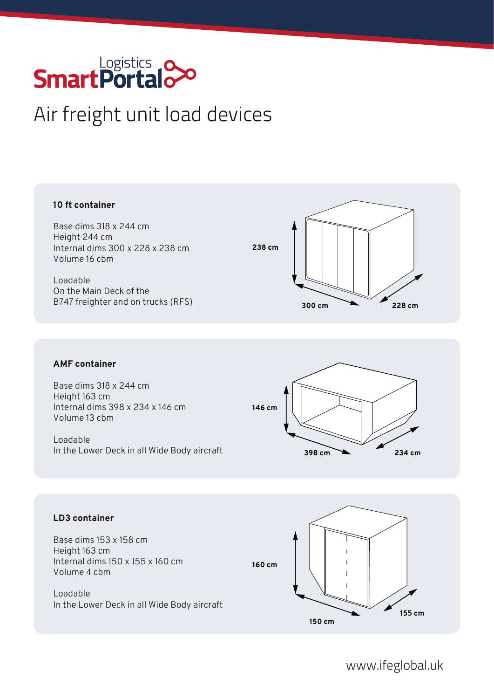# **SmartPortalo**

# Air freight unit load devices

#### **10 ft container**

Base dims 318 x 244 cm Height 244 cm Internal dims 300 x 228 x 238 cm Volume 16 cbm

Loadable On the Main Deck of the B747 freighter and on trucks (RFS)



## **AMF container**

Base dims 318 x 244 cm Height 163 cm Internal dims 398 x 234 x 146 cm Volume 13 cbm

Loadable In the Lower Deck in all Wide Body aircraft



#### **LD3 container**

Base dims 153 x 158 cm Height 163 cm Internal dims 150 x 155 x 160 cm Volume 4 cbm

Loadable In the Lower Deck in all Wide Body aircraft



www.ifeglobal.uk